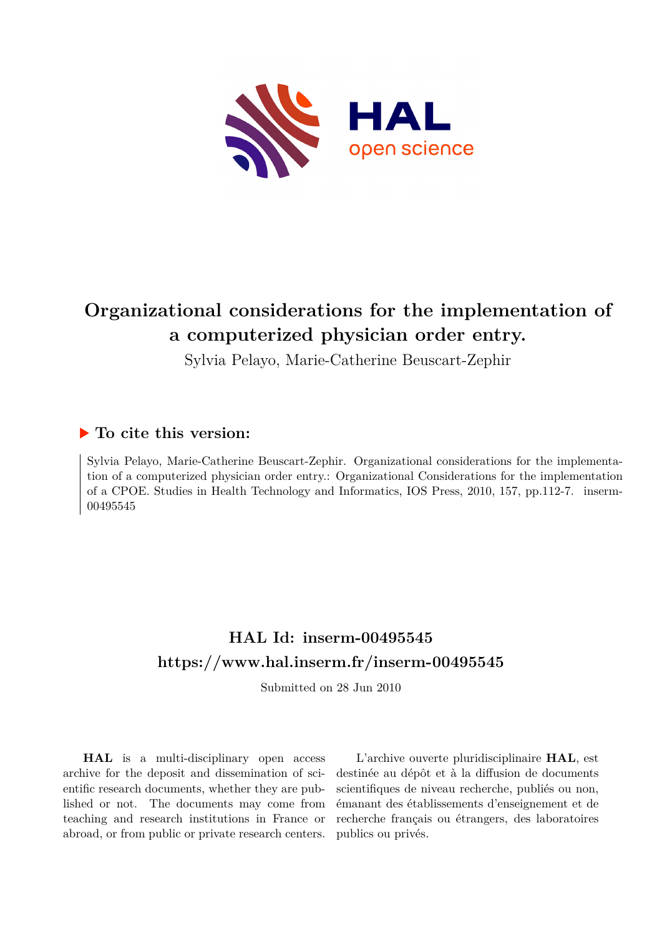

# **Organizational considerations for the implementation of a computerized physician order entry.**

Sylvia Pelayo, Marie-Catherine Beuscart-Zephir

## **To cite this version:**

Sylvia Pelayo, Marie-Catherine Beuscart-Zephir. Organizational considerations for the implementation of a computerized physician order entry.: Organizational Considerations for the implementation of a CPOE. Studies in Health Technology and Informatics, IOS Press, 2010, 157, pp.112-7. inserm-00495545

## **HAL Id: inserm-00495545 <https://www.hal.inserm.fr/inserm-00495545>**

Submitted on 28 Jun 2010

**HAL** is a multi-disciplinary open access archive for the deposit and dissemination of scientific research documents, whether they are published or not. The documents may come from teaching and research institutions in France or abroad, or from public or private research centers.

L'archive ouverte pluridisciplinaire **HAL**, est destinée au dépôt et à la diffusion de documents scientifiques de niveau recherche, publiés ou non, émanant des établissements d'enseignement et de recherche français ou étrangers, des laboratoires publics ou privés.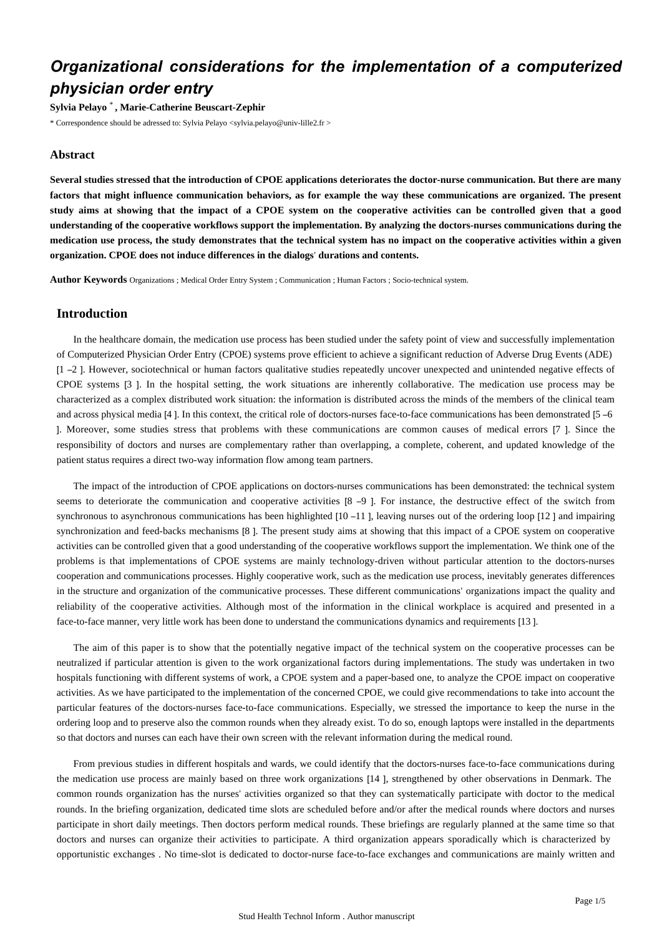## *Organizational considerations for the implementation of a computerized physician order entry*

**Sylvia Pelayo** \* **, Marie-Catherine Beuscart-Zephir**

\* Correspondence should be adressed to: Sylvia Pelayo <sylvia.pelayo@univ-lille2.fr >

## **Abstract**

**Several studies stressed that the introduction of CPOE applications deteriorates the doctor-nurse communication. But there are many factors that might influence communication behaviors, as for example the way these communications are organized. The present study aims at showing that the impact of a CPOE system on the cooperative activities can be controlled given that a good understanding of the cooperative workflows support the implementation. By analyzing the doctors-nurses communications during the medication use process, the study demonstrates that the technical system has no impact on the cooperative activities within a given organization. CPOE does not induce differences in the dialogs**' **durations and contents.**

**Author Keywords** Organizations ; Medical Order Entry System ; Communication ; Human Factors ; Socio-technical system.

## **Introduction**

In the healthcare domain, the medication use process has been studied under the safety point of view and successfully implementation of Computerized Physician Order Entry (CPOE) systems prove efficient to achieve a significant reduction of Adverse Drug Events (ADE) [1 –2 ]. However, sociotechnical or human factors qualitative studies repeatedly uncover unexpected and unintended negative effects of CPOE systems [3 ]. In the hospital setting, the work situations are inherently collaborative. The medication use process may be characterized as a complex distributed work situation: the information is distributed across the minds of the members of the clinical team and across physical media [4 ]. In this context, the critical role of doctors-nurses face-to-face communications has been demonstrated [5 –6 ]. Moreover, some studies stress that problems with these communications are common causes of medical errors [7 ]. Since the responsibility of doctors and nurses are complementary rather than overlapping, a complete, coherent, and updated knowledge of the patient status requires a direct two-way information flow among team partners.

The impact of the introduction of CPOE applications on doctors-nurses communications has been demonstrated: the technical system seems to deteriorate the communication and cooperative activities [8 –9 ]. For instance, the destructive effect of the switch from synchronous to asynchronous communications has been highlighted [10-11], leaving nurses out of the ordering loop [12] and impairing synchronization and feed-backs mechanisms [8 ]. The present study aims at showing that this impact of a CPOE system on cooperative activities can be controlled given that a good understanding of the cooperative workflows support the implementation. We think one of the problems is that implementations of CPOE systems are mainly technology-driven without particular attention to the doctors-nurses cooperation and communications processes. Highly cooperative work, such as the medication use process, inevitably generates differences in the structure and organization of the communicative processes. These different communications' organizations impact the quality and reliability of the cooperative activities. Although most of the information in the clinical workplace is acquired and presented in a face-to-face manner, very little work has been done to understand the communications dynamics and requirements [13 ].

The aim of this paper is to show that the potentially negative impact of the technical system on the cooperative processes can be neutralized if particular attention is given to the work organizational factors during implementations. The study was undertaken in two hospitals functioning with different systems of work, a CPOE system and a paper-based one, to analyze the CPOE impact on cooperative activities. As we have participated to the implementation of the concerned CPOE, we could give recommendations to take into account the particular features of the doctors-nurses face-to-face communications. Especially, we stressed the importance to keep the nurse in the ordering loop and to preserve also the common rounds when they already exist. To do so, enough laptops were installed in the departments so that doctors and nurses can each have their own screen with the relevant information during the medical round.

From previous studies in different hospitals and wards, we could identify that the doctors-nurses face-to-face communications during the medication use process are mainly based on three work organizations [14 ], strengthened by other observations in Denmark. The common rounds organization has the nurses' activities organized so that they can systematically participate with doctor to the medical rounds. In the briefing organization, dedicated time slots are scheduled before and/or after the medical rounds where doctors and nurses participate in short daily meetings. Then doctors perform medical rounds. These briefings are regularly planned at the same time so that doctors and nurses can organize their activities to participate. A third organization appears sporadically which is characterized by opportunistic exchanges . No time-slot is dedicated to doctor-nurse face-to-face exchanges and communications are mainly written and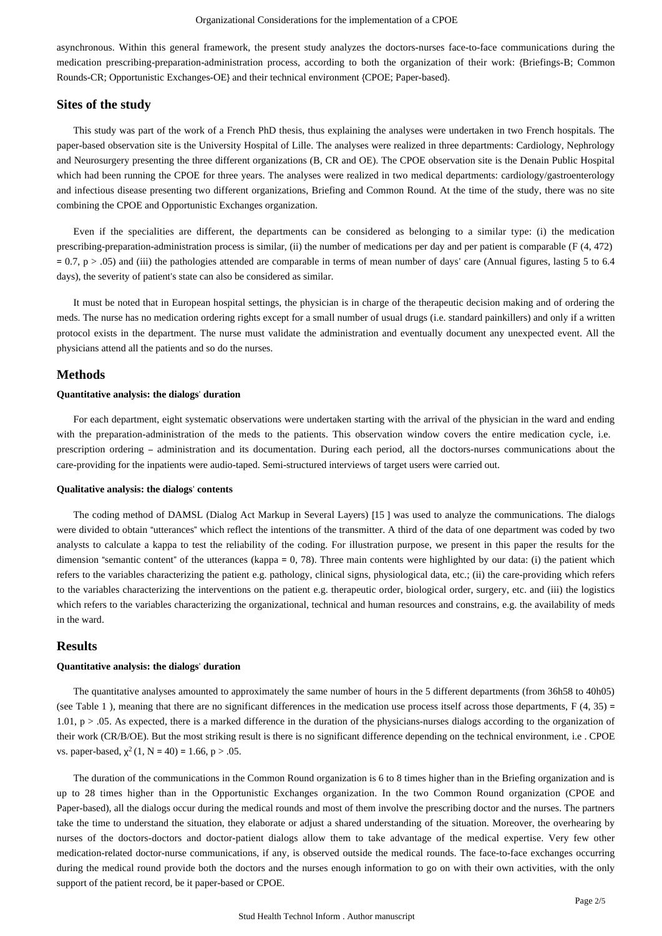asynchronous. Within this general framework, the present study analyzes the doctors-nurses face-to-face communications during the medication prescribing-preparation-administration process, according to both the organization of their work: {Briefings-B; Common Rounds-CR; Opportunistic Exchanges-OE} and their technical environment {CPOE; Paper-based}.

### **Sites of the study**

This study was part of the work of a French PhD thesis, thus explaining the analyses were undertaken in two French hospitals. The paper-based observation site is the University Hospital of Lille. The analyses were realized in three departments: Cardiology, Nephrology and Neurosurgery presenting the three different organizations (B, CR and OE). The CPOE observation site is the Denain Public Hospital which had been running the CPOE for three years. The analyses were realized in two medical departments: cardiology/gastroenterology and infectious disease presenting two different organizations, Briefing and Common Round. At the time of the study, there was no site combining the CPOE and Opportunistic Exchanges organization.

Even if the specialities are different, the departments can be considered as belonging to a similar type: (i) the medication prescribing-preparation-administration process is similar, (ii) the number of medications per day and per patient is comparable (F (4, 472)  $= 0.7$ , p  $> 0.05$ ) and (iii) the pathologies attended are comparable in terms of mean number of days' care (Annual figures, lasting 5 to 6.4 days), the severity of patient's state can also be considered as similar.

It must be noted that in European hospital settings, the physician is in charge of the therapeutic decision making and of ordering the meds. The nurse has no medication ordering rights except for a small number of usual drugs (i.e. standard painkillers) and only if a written protocol exists in the department. The nurse must validate the administration and eventually document any unexpected event. All the physicians attend all the patients and so do the nurses.

## **Methods**

#### **Quantitative analysis: the dialogs**' **duration**

For each department, eight systematic observations were undertaken starting with the arrival of the physician in the ward and ending with the preparation-administration of the meds to the patients. This observation window covers the entire medication cycle, i.e. prescription ordering – administration and its documentation. During each period, all the doctors-nurses communications about the care-providing for the inpatients were audio-taped. Semi-structured interviews of target users were carried out.

#### **Qualitative analysis: the dialogs**' **contents**

The coding method of DAMSL (Dialog Act Markup in Several Layers) [15 ] was used to analyze the communications. The dialogs were divided to obtain "utterances" which reflect the intentions of the transmitter. A third of the data of one department was coded by two analysts to calculate a kappa to test the reliability of the coding. For illustration purpose, we present in this paper the results for the dimension "semantic content" of the utterances (kappa = 0, 78). Three main contents were highlighted by our data: (i) the patient which refers to the variables characterizing the patient e.g. pathology, clinical signs, physiological data, etc.; (ii) the care-providing which refers to the variables characterizing the interventions on the patient e.g. therapeutic order, biological order, surgery, etc. and (iii) the logistics which refers to the variables characterizing the organizational, technical and human resources and constrains, e.g. the availability of meds in the ward.

### **Results**

#### **Quantitative analysis: the dialogs**' **duration**

The quantitative analyses amounted to approximately the same number of hours in the 5 different departments (from 36h58 to 40h05) (see Table 1), meaning that there are no significant differences in the medication use process itself across those departments,  $F(4, 35)$  =  $1.01$ ,  $p > .05$ . As expected, there is a marked difference in the duration of the physicians-nurses dialogs according to the organization of their work (CR/B/OE). But the most striking result is there is no significant difference depending on the technical environment, i.e . CPOE vs. paper-based,  $\chi^2$  (1, N = 40) = 1.66, p > .05.

The duration of the communications in the Common Round organization is 6 to 8 times higher than in the Briefing organization and is up to 28 times higher than in the Opportunistic Exchanges organization. In the two Common Round organization (CPOE and Paper-based), all the dialogs occur during the medical rounds and most of them involve the prescribing doctor and the nurses. The partners take the time to understand the situation, they elaborate or adjust a shared understanding of the situation. Moreover, the overhearing by nurses of the doctors-doctors and doctor-patient dialogs allow them to take advantage of the medical expertise. Very few other medication-related doctor-nurse communications, if any, is observed outside the medical rounds. The face-to-face exchanges occurring during the medical round provide both the doctors and the nurses enough information to go on with their own activities, with the only support of the patient record, be it paper-based or CPOE.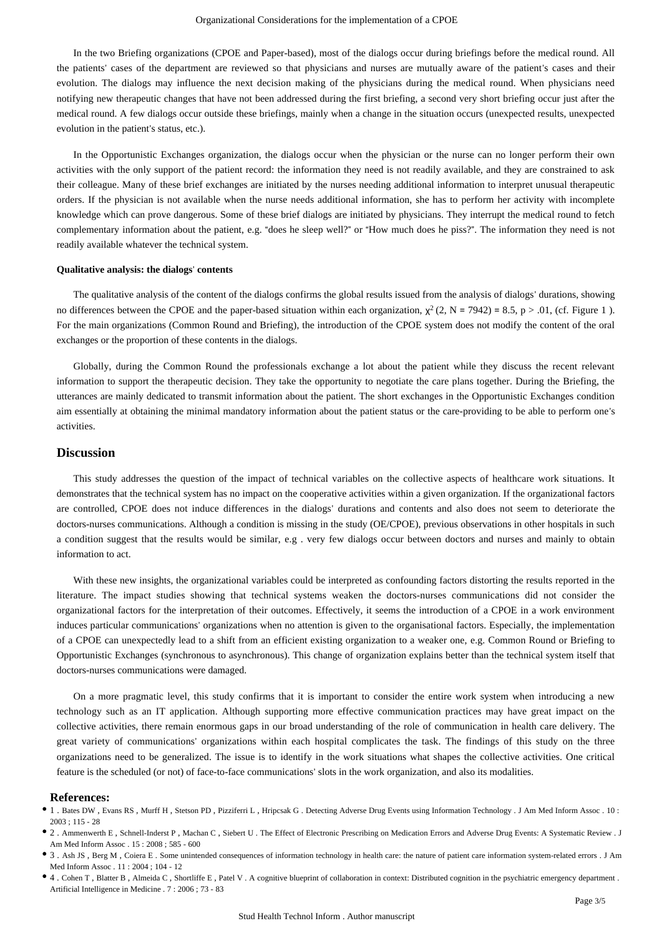In the two Briefing organizations (CPOE and Paper-based), most of the dialogs occur during briefings before the medical round. All the patients' cases of the department are reviewed so that physicians and nurses are mutually aware of the patient's cases and their evolution. The dialogs may influence the next decision making of the physicians during the medical round. When physicians need notifying new therapeutic changes that have not been addressed during the first briefing, a second very short briefing occur just after the medical round. A few dialogs occur outside these briefings, mainly when a change in the situation occurs (unexpected results, unexpected evolution in the patient's status, etc.).

In the Opportunistic Exchanges organization, the dialogs occur when the physician or the nurse can no longer perform their own activities with the only support of the patient record: the information they need is not readily available, and they are constrained to ask their colleague. Many of these brief exchanges are initiated by the nurses needing additional information to interpret unusual therapeutic orders. If the physician is not available when the nurse needs additional information, she has to perform her activity with incomplete knowledge which can prove dangerous. Some of these brief dialogs are initiated by physicians. They interrupt the medical round to fetch complementary information about the patient, e.g. "does he sleep well?" or "How much does he piss?". The information they need is not readily available whatever the technical system.

#### **Qualitative analysis: the dialogs**' **contents**

The qualitative analysis of the content of the dialogs confirms the global results issued from the analysis of dialogs' durations, showing no differences between the CPOE and the paper-based situation within each organization,  $\chi^2$  (2, N = 7942) = 8.5, p > .01, (cf. Figure 1). For the main organizations (Common Round and Briefing), the introduction of the CPOE system does not modify the content of the oral exchanges or the proportion of these contents in the dialogs.

Globally, during the Common Round the professionals exchange a lot about the patient while they discuss the recent relevant information to support the therapeutic decision. They take the opportunity to negotiate the care plans together. During the Briefing, the utterances are mainly dedicated to transmit information about the patient. The short exchanges in the Opportunistic Exchanges condition aim essentially at obtaining the minimal mandatory information about the patient status or the care-providing to be able to perform one's activities.

### **Discussion**

This study addresses the question of the impact of technical variables on the collective aspects of healthcare work situations. It demonstrates that the technical system has no impact on the cooperative activities within a given organization. If the organizational factors are controlled, CPOE does not induce differences in the dialogs' durations and contents and also does not seem to deteriorate the doctors-nurses communications. Although a condition is missing in the study (OE/CPOE), previous observations in other hospitals in such a condition suggest that the results would be similar, e.g . very few dialogs occur between doctors and nurses and mainly to obtain information to act.

With these new insights, the organizational variables could be interpreted as confounding factors distorting the results reported in the literature. The impact studies showing that technical systems weaken the doctors-nurses communications did not consider the organizational factors for the interpretation of their outcomes. Effectively, it seems the introduction of a CPOE in a work environment induces particular communications' organizations when no attention is given to the organisational factors. Especially, the implementation of a CPOE can unexpectedly lead to a shift from an efficient existing organization to a weaker one, e.g. Common Round or Briefing to Opportunistic Exchanges (synchronous to asynchronous). This change of organization explains better than the technical system itself that doctors-nurses communications were damaged.

On a more pragmatic level, this study confirms that it is important to consider the entire work system when introducing a new technology such as an IT application. Although supporting more effective communication practices may have great impact on the collective activities, there remain enormous gaps in our broad understanding of the role of communication in health care delivery. The great variety of communications' organizations within each hospital complicates the task. The findings of this study on the three organizations need to be generalized. The issue is to identify in the work situations what shapes the collective activities. One critical feature is the scheduled (or not) of face-to-face communications' slots in the work organization, and also its modalities.

#### **References:**

- 1 . Bates DW , Evans RS , Murff H , Stetson PD , Pizziferri L , Hripcsak G . Detecting Adverse Drug Events using Information Technology . J Am Med Inform Assoc . 10 :  $2003 \cdot 115 - 28$
- 2 . Ammenwerth E , Schnell-Inderst P , Machan C , Siebert U . The Effect of Electronic Prescribing on Medication Errors and Adverse Drug Events: A Systematic Review . J Am Med Inform Assoc . 15 : 2008 ; 585 - 600
- 3 . Ash JS , Berg M , Coiera E . Some unintended consequences of information technology in health care: the nature of patient care information system-related errors . J Am Med Inform Assoc . 11 : 2004 ; 104 - 12
- 4 . Cohen T , Blatter B , Almeida C , Shortliffe E , Patel V . A cognitive blueprint of collaboration in context: Distributed cognition in the psychiatric emergency department . Artificial Intelligence in Medicine . 7 : 2006 ; 73 - 83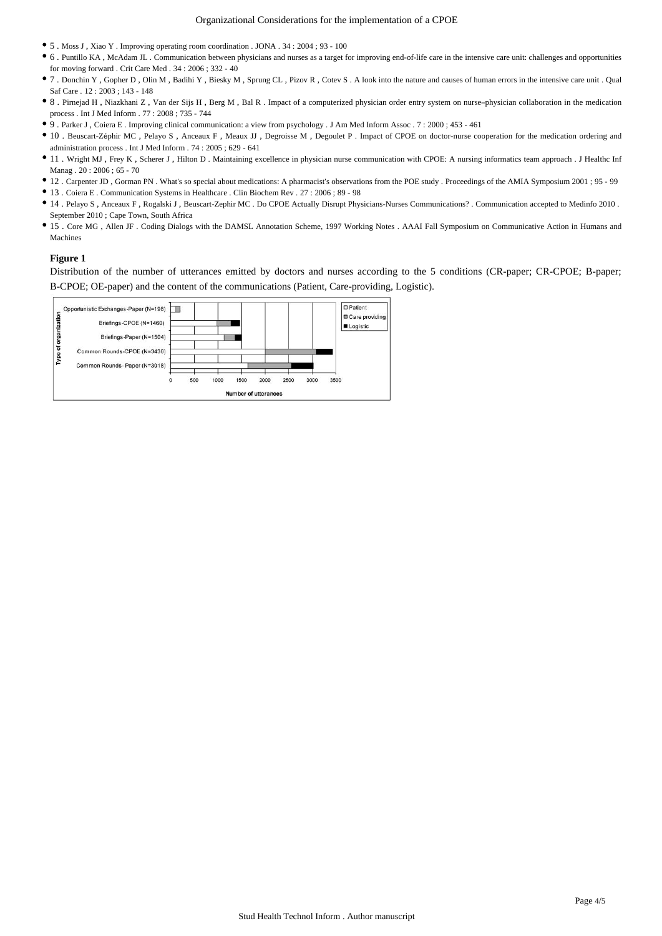- 5 . Moss J , Xiao Y . Improving operating room coordination . JONA . 34 : 2004 ; 93 100
- 6 . Puntillo KA , McAdam JL . Communication between physicians and nurses as a target for improving end-of-life care in the intensive care unit: challenges and opportunities for moving forward . Crit Care Med . 34 : 2006 ; 332 - 40
- <sup>•</sup> 7 . Donchin Y , Gopher D , Olin M , Badihi Y , Biesky M , Sprung CL , Pizov R , Cotev S . A look into the nature and causes of human errors in the intensive care unit . Qual Saf Care . 12 : 2003 ; 143 - 148
- 8 . Pirnejad H , Niazkhani Z , Van der Sijs H , Berg M , Bal R . Impact of a computerized physician order entry system on nurse–physician collaboration in the medication process . Int J Med Inform . 77 : 2008 ; 735 - 744
- 9 . Parker J , Coiera E . Improving clinical communication: a view from psychology . J Am Med Inform Assoc . 7 : 2000 ; 453 461
- 10 . Beuscart-Zéphir MC , Pelayo S , Anceaux F , Meaux JJ , Degroisse M , Degoulet P . Impact of CPOE on doctor-nurse cooperation for the medication ordering and administration process . Int J Med Inform . 74 : 2005 ; 629 - 641
- 11 . Wright MJ , Frey K , Scherer J , Hilton D . Maintaining excellence in physician nurse communication with CPOE: A nursing informatics team approach . J Healthc Inf Manag . 20 : 2006 ; 65 - 70
- 12 . Carpenter JD , Gorman PN . What's so special about medications: A pharmacist's observations from the POE study . Proceedings of the AMIA Symposium 2001 ; 95 99
- 13 . Coiera E . Communication Systems in Healthcare . Clin Biochem Rev . 27 : 2006 ; 89 98
- 14 . Pelayo S , Anceaux F , Rogalski J , Beuscart-Zephir MC . Do CPOE Actually Disrupt Physicians-Nurses Communications? . Communication accepted to Medinfo 2010 . September 2010 ; Cape Town, South Africa
- 15 . Core MG , Allen JF . Coding Dialogs with the DAMSL Annotation Scheme, 1997 Working Notes . AAAI Fall Symposium on Communicative Action in Humans and Machines

#### **Figure 1**

Distribution of the number of utterances emitted by doctors and nurses according to the 5 conditions (CR-paper; CR-CPOE; B-paper; B-CPOE; OE-paper) and the content of the communications (Patient, Care-providing, Logistic).